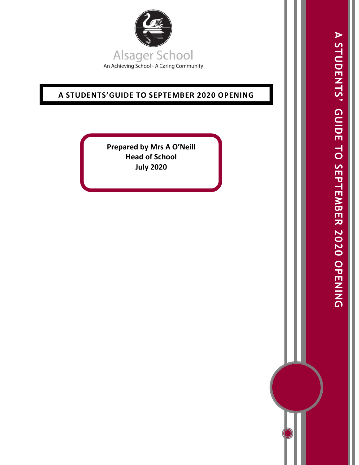

# **A STUDENTS'GUIDE TO SEPTEMBER 2020 OPENING**

**Prepared by Mrs A O'Neill Head of School July 2020**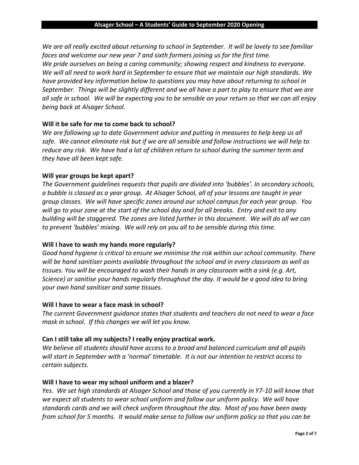*We are all really excited about returning to school in September. It will be lovely to see familiar faces and welcome our new year 7 and sixth formers joining us for the first time. We pride ourselves on being a caring community; showing respect and kindness to everyone. We will all need to work hard in September to ensure that we maintain our high standards. We have provided key information below to questions you may have about returning to school in September. Things will be slightly different and we all have a part to play to ensure that we are all safe in school. We will be expecting you to be sensible on your return so that we can all enjoy being back at Alsager School.* 

# **Will it be safe for me to come back to school?**

*We are following up to date Government advice and putting in measures to help keep us all safe. We cannot eliminate risk but if we are all sensible and follow instructions we will help to reduce any risk. We have had a lot of children return to school during the summer term and they have all been kept safe.* 

# **Will year groups be kept apart?**

*The Government guidelines requests that pupils are divided into 'bubbles'. In secondary schools, a bubble is classed as a year group. At Alsager School, all of your lessons are taught in year group classes. We will have specific zones around our school campus for each year group. You will go to your zone at the start of the school day and for all breaks. Entry and exit to any building will be staggered. The zones are listed further in this document. We will do all we can to prevent 'bubbles' mixing. We will rely on you all to be sensible during this time.* 

# **Will I have to wash my hands more regularly?**

*Good hand hygiene is critical to ensure we minimise the risk within our school community. There will be hand sanitiser points available throughout the school and in every classroom as well as tissues. You will be encouraged to wash their hands in any classroom with a sink (e.g. Art, Science) or sanitise your hands regularly throughout the day. It would be a good idea to bring your own hand sanitiser and some tissues.* 

# **Will I have to wear a face mask in school?**

*The current Government guidance states that students and teachers do not need to wear a face mask in school. If this changes we will let you know.* 

# **Can I still take all my subjects? I really enjoy practical work.**

*We believe all students should have access to a broad and balanced curriculum and all pupils will start in September with a 'normal' timetable. It is not our intention to restrict access to certain subjects.*

# **Will I have to wear my school uniform and a blazer?**

*Yes. We set high standards at Alsager School and those of you currently in Y7-10 will know that we expect all students to wear school uniform and follow our uniform policy. We will have standards cards and we will check uniform throughout the day. Most of you have been away from school for 5 months. It would make sense to follow our uniform policy so that you can be*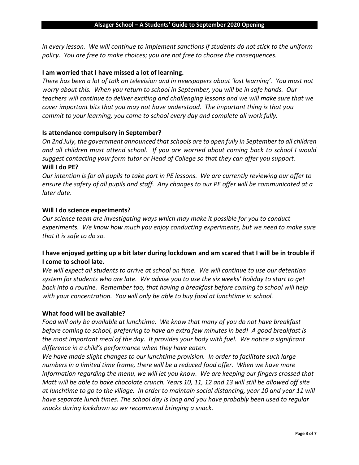*in every lesson. We will continue to implement sanctions if students do not stick to the uniform policy. You are free to make choices; you are not free to choose the consequences.* 

## **I am worried that I have missed a lot of learning.**

*There has been a lot of talk on television and in newspapers about 'lost learning'. You must not worry about this. When you return to school in September, you will be in safe hands. Our teachers will continue to deliver exciting and challenging lessons and we will make sure that we cover important bits that you may not have understood. The important thing is that you commit to your learning, you come to school every day and complete all work fully.* 

## **Is attendance compulsory in September?**

*On 2nd July, the government announced that schools are to open fully in September to all children and all children must attend school. If you are worried about coming back to school I would suggest contacting your form tutor or Head of College so that they can offer you support.*  **Will I do PE?**

*Our intention is for all pupils to take part in PE lessons. We are currently reviewing our offer to ensure the safety of all pupils and staff. Any changes to our PE offer will be communicated at a later date.* 

## **Will I do science experiments?**

*Our science team are investigating ways which may make it possible for you to conduct experiments. We know how much you enjoy conducting experiments, but we need to make sure that it is safe to do so.* 

# **I have enjoyed getting up a bit later during lockdown and am scared that I will be in trouble if I come to school late.**

*We will expect all students to arrive at school on time. We will continue to use our detention system for students who are late. We advise you to use the six weeks' holiday to start to get back into a routine. Remember too, that having a breakfast before coming to school will help with your concentration. You will only be able to buy food at lunchtime in school.* 

### **What food will be available?**

*Food will only be available at lunchtime. We know that many of you do not have breakfast before coming to school, preferring to have an extra few minutes in bed! A good breakfast is the most important meal of the day. It provides your body with fuel. We notice a significant difference in a child's performance when they have eaten.* 

*We have made slight changes to our lunchtime provision. In order to facilitate such large numbers in a limited time frame, there will be a reduced food offer. When we have more information regarding the menu, we will let you know. We are keeping our fingers crossed that Matt will be able to bake chocolate crunch. Years 10, 11, 12 and 13 will still be allowed off site at lunchtime to go to the village. In order to maintain social distancing, year 10 and year 11 will have separate lunch times. The school day is long and you have probably been used to regular snacks during lockdown so we recommend bringing a snack.*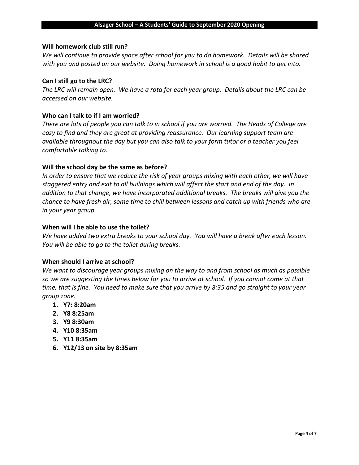## **Will homework club still run?**

*We will continue to provide space after school for you to do homework. Details will be shared with you and posted on our website. Doing homework in school is a good habit to get into.* 

## **Can I still go to the LRC?**

*The LRC will remain open. We have a rota for each year group. Details about the LRC can be accessed on our website.* 

## **Who can I talk to if I am worried?**

*There are lots of people you can talk to in school if you are worried. The Heads of College are easy to find and they are great at providing reassurance. Our learning support team are available throughout the day but you can also talk to your form tutor or a teacher you feel comfortable talking to.* 

## **Will the school day be the same as before?**

*In order to ensure that we reduce the risk of year groups mixing with each other, we will have staggered entry and exit to all buildings which will affect the start and end of the day. In addition to that change, we have incorporated additional breaks. The breaks will give you the chance to have fresh air, some time to chill between lessons and catch up with friends who are in your year group.*

## **When will I be able to use the toilet?**

*We have added two extra breaks to your school day. You will have a break after each lesson. You will be able to go to the toilet during breaks.*

### **When should I arrive at school?**

*We want to discourage year groups mixing on the way to and from school as much as possible so we are suggesting the times below for you to arrive at school. If you cannot come at that time, that is fine. You need to make sure that you arrive by 8:35 and go straight to your year group zone.* 

- **1. Y7: 8:20am**
- **2. Y8 8:25am**
- **3. Y9 8:30am**
- **4. Y10 8:35am**
- **5. Y11 8:35am**
- **6. Y12/13 on site by 8:35am**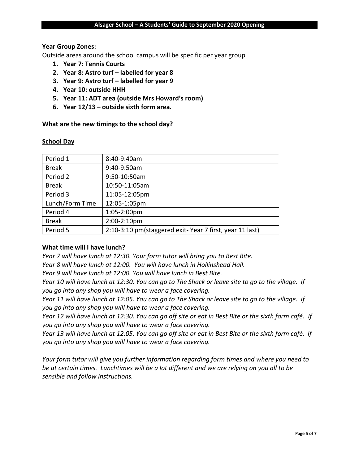## **Year Group Zones:**

Outside areas around the school campus will be specific per year group

- **1. Year 7: Tennis Courts**
- **2. Year 8: Astro turf – labelled for year 8**
- **3. Year 9: Astro turf – labelled for year 9**
- **4. Year 10: outside HHH**
- **5. Year 11: ADT area (outside Mrs Howard's room)**
- **6. Year 12/13 – outside sixth form area.**

**What are the new timings to the school day?**

### **School Day**

| 8:40-9:40am                                             |
|---------------------------------------------------------|
| 9:40-9:50am                                             |
| 9:50-10:50am                                            |
| 10:50-11:05am                                           |
| 11:05-12:05pm                                           |
| 12:05-1:05pm                                            |
| 1:05-2:00pm                                             |
| 2:00-2:10pm                                             |
| 2:10-3:10 pm(staggered exit-Year 7 first, year 11 last) |
|                                                         |

# **What time will I have lunch?**

*Year 7 will have lunch at 12:30. Your form tutor will bring you to Best Bite.*

*Year 8 will have lunch at 12:00. You will have lunch in Hollinshead Hall.*

*Year 9 will have lunch at 12:00. You will have lunch in Best Bite.*

*Year 10 will have lunch at 12:30. You can go to The Shack or leave site to go to the village. If you go into any shop you will have to wear a face covering.*

*Year 11 will have lunch at 12:05. You can go to The Shack or leave site to go to the village. If you go into any shop you will have to wear a face covering.*

*Year 12 will have lunch at 12:30. You can go off site or eat in Best Bite or the sixth form café. If you go into any shop you will have to wear a face covering.*

*Year 13 will have lunch at 12:05. You can go off site or eat in Best Bite or the sixth form café. If you go into any shop you will have to wear a face covering.*

*Your form tutor will give you further information regarding form times and where you need to be at certain times. Lunchtimes will be a lot different and we are relying on you all to be sensible and follow instructions.*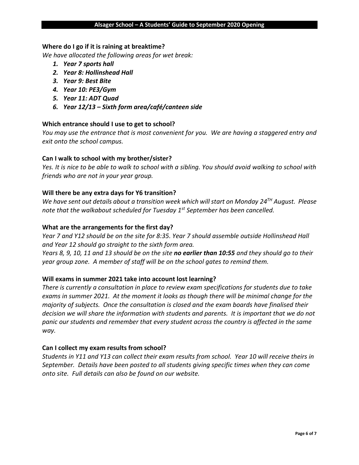#### **Alsager School – A Students' Guide to September 2020 Opening**

### **Where do I go if it is raining at breaktime?**

*We have allocated the following areas for wet break:* 

- *1. Year 7 sports hall*
- *2. Year 8: Hollinshead Hall*
- *3. Year 9: Best Bite*
- *4. Year 10: PE3/Gym*
- *5. Year 11: ADT Quad*
- *6. Year 12/13 – Sixth form area/café/canteen side*

### **Which entrance should I use to get to school?**

*You may use the entrance that is most convenient for you. We are having a staggered entry and exit onto the school campus.* 

### **Can I walk to school with my brother/sister?**

*Yes. It is nice to be able to walk to school with a sibling. You should avoid walking to school with friends who are not in your year group.* 

#### **Will there be any extra days for Y6 transition?**

*We have sent out details about a transition week which will start on Monday 24TH August. Please note that the walkabout scheduled for Tuesday 1st September has been cancelled.* 

#### **What are the arrangements for the first day?**

*Year 7 and Y12 should be on the site for 8:35. Year 7 should assemble outside Hollinshead Hall and Year 12 should go straight to the sixth form area.* 

*Years 8, 9, 10, 11 and 13 should be on the site no earlier than 10:55 and they should go to their year group zone. A member of staff will be on the school gates to remind them.* 

### **Will exams in summer 2021 take into account lost learning?**

*There is currently a consultation in place to review exam specifications for students due to take exams in summer 2021. At the moment it looks as though there will be minimal change for the majority of subjects. Once the consultation is closed and the exam boards have finalised their decision we will share the information with students and parents. It is important that we do not panic our students and remember that every student across the country is affected in the same way.* 

### **Can I collect my exam results from school?**

*Students in Y11 and Y13 can collect their exam results from school. Year 10 will receive theirs in September. Details have been posted to all students giving specific times when they can come onto site. Full details can also be found on our website.*